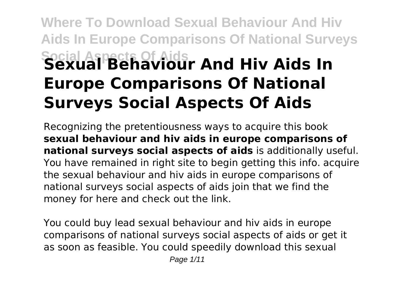# **Where To Download Sexual Behaviour And Hiv Aids In Europe Comparisons Of National Surveys Social Aspects Of Aids Sexual Behaviour And Hiv Aids In Europe Comparisons Of National Surveys Social Aspects Of Aids**

Recognizing the pretentiousness ways to acquire this book **sexual behaviour and hiv aids in europe comparisons of national surveys social aspects of aids** is additionally useful. You have remained in right site to begin getting this info. acquire the sexual behaviour and hiv aids in europe comparisons of national surveys social aspects of aids join that we find the money for here and check out the link.

You could buy lead sexual behaviour and hiv aids in europe comparisons of national surveys social aspects of aids or get it as soon as feasible. You could speedily download this sexual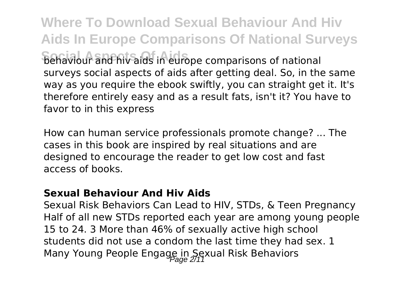**Where To Download Sexual Behaviour And Hiv Aids In Europe Comparisons Of National Surveys Sehaviour and hiv aids in europe comparisons of national** surveys social aspects of aids after getting deal. So, in the same way as you require the ebook swiftly, you can straight get it. It's

therefore entirely easy and as a result fats, isn't it? You have to favor to in this express

How can human service professionals promote change? ... The cases in this book are inspired by real situations and are designed to encourage the reader to get low cost and fast access of books.

#### **Sexual Behaviour And Hiv Aids**

Sexual Risk Behaviors Can Lead to HIV, STDs, & Teen Pregnancy Half of all new STDs reported each year are among young people 15 to 24. 3 More than 46% of sexually active high school students did not use a condom the last time they had sex. 1 Many Young People Engage in Sexual Risk Behaviors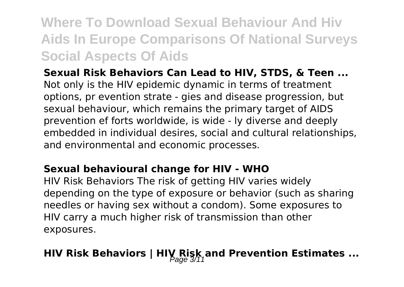### **Where To Download Sexual Behaviour And Hiv Aids In Europe Comparisons Of National Surveys Social Aspects Of Aids**

**Sexual Risk Behaviors Can Lead to HIV, STDS, & Teen ...** Not only is the HIV epidemic dynamic in terms of treatment options, pr evention strate - gies and disease progression, but sexual behaviour, which remains the primary target of AIDS prevention ef forts worldwide, is wide - ly diverse and deeply embedded in individual desires, social and cultural relationships, and environmental and economic processes.

#### **Sexual behavioural change for HIV - WHO**

HIV Risk Behaviors The risk of getting HIV varies widely depending on the type of exposure or behavior (such as sharing needles or having sex without a condom). Some exposures to HIV carry a much higher risk of transmission than other exposures.

### **HIV Risk Behaviors | HIV Risk and Prevention Estimates ...**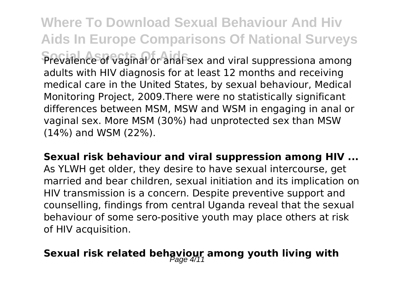**Where To Download Sexual Behaviour And Hiv Aids In Europe Comparisons Of National Surveys Prevalence of vaginal or anal sex and viral suppressiona among** 

adults with HIV diagnosis for at least 12 months and receiving medical care in the United States, by sexual behaviour, Medical Monitoring Project, 2009.There were no statistically significant differences between MSM, MSW and WSM in engaging in anal or vaginal sex. More MSM (30%) had unprotected sex than MSW (14%) and WSM (22%).

**Sexual risk behaviour and viral suppression among HIV ...** As YLWH get older, they desire to have sexual intercourse, get married and bear children, sexual initiation and its implication on HIV transmission is a concern. Despite preventive support and counselling, findings from central Uganda reveal that the sexual behaviour of some sero-positive youth may place others at risk of HIV acquisition.

## Sexual risk related behaviour among youth living with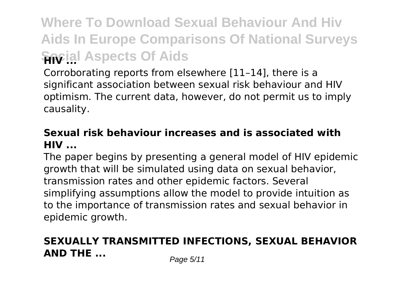## **Where To Download Sexual Behaviour And Hiv Aids In Europe Comparisons Of National Surveys Sacial Aspects Of Aids**

Corroborating reports from elsewhere [11–14], there is a significant association between sexual risk behaviour and HIV optimism. The current data, however, do not permit us to imply causality.

#### **Sexual risk behaviour increases and is associated with HIV ...**

The paper begins by presenting a general model of HIV epidemic growth that will be simulated using data on sexual behavior, transmission rates and other epidemic factors. Several simplifying assumptions allow the model to provide intuition as to the importance of transmission rates and sexual behavior in epidemic growth.

### **SEXUALLY TRANSMITTED INFECTIONS, SEXUAL BEHAVIOR AND THE ...** *Page 5/11*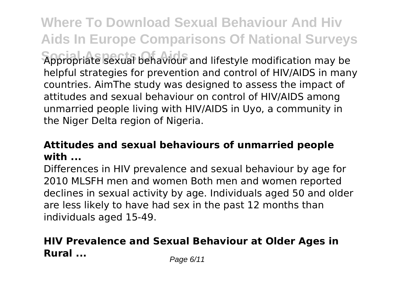**Where To Download Sexual Behaviour And Hiv Aids In Europe Comparisons Of National Surveys Social Aspects Of Aids** Appropriate sexual behaviour and lifestyle modification may be helpful strategies for prevention and control of HIV/AIDS in many countries. AimThe study was designed to assess the impact of attitudes and sexual behaviour on control of HIV/AIDS among unmarried people living with HIV/AIDS in Uyo, a community in the Niger Delta region of Nigeria.

#### **Attitudes and sexual behaviours of unmarried people with ...**

Differences in HIV prevalence and sexual behaviour by age for 2010 MLSFH men and women Both men and women reported declines in sexual activity by age. Individuals aged 50 and older are less likely to have had sex in the past 12 months than individuals aged 15-49.

### **HIV Prevalence and Sexual Behaviour at Older Ages in Rural** ... *Page 6/11*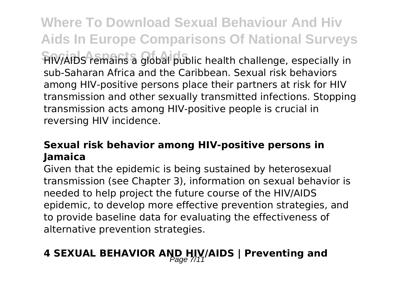**Where To Download Sexual Behaviour And Hiv Aids In Europe Comparisons Of National Surveys Social Aspects Of Aids** HIV/AIDS remains a global public health challenge, especially in sub-Saharan Africa and the Caribbean. Sexual risk behaviors among HIV-positive persons place their partners at risk for HIV transmission and other sexually transmitted infections. Stopping transmission acts among HIV-positive people is crucial in reversing HIV incidence.

#### **Sexual risk behavior among HIV-positive persons in Jamaica**

Given that the epidemic is being sustained by heterosexual transmission (see Chapter 3), information on sexual behavior is needed to help project the future course of the HIV/AIDS epidemic, to develop more effective prevention strategies, and to provide baseline data for evaluating the effectiveness of alternative prevention strategies.

## **4 SEXUAL BEHAVIOR AND HIV/AIDS | Preventing and**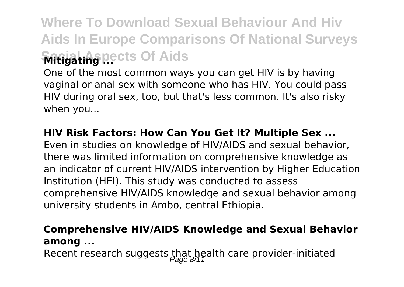## **Where To Download Sexual Behaviour And Hiv Aids In Europe Comparisons Of National Surveys Social Aspects Of Aids Mitigating ...**

One of the most common ways you can get HIV is by having vaginal or anal sex with someone who has HIV. You could pass HIV during oral sex, too, but that's less common. It's also risky when you...

#### **HIV Risk Factors: How Can You Get It? Multiple Sex ...**

Even in studies on knowledge of HIV/AIDS and sexual behavior, there was limited information on comprehensive knowledge as an indicator of current HIV/AIDS intervention by Higher Education Institution (HEI). This study was conducted to assess comprehensive HIV/AIDS knowledge and sexual behavior among university students in Ambo, central Ethiopia.

#### **Comprehensive HIV/AIDS Knowledge and Sexual Behavior among ...**

Recent research suggests that health care provider-initiated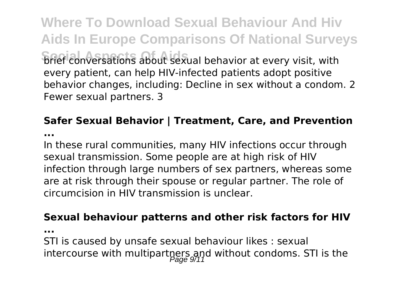**Where To Download Sexual Behaviour And Hiv Aids In Europe Comparisons Of National Surveys Brief conversations about sexual behavior at every visit, with** every patient, can help HIV-infected patients adopt positive behavior changes, including: Decline in sex without a condom. 2 Fewer sexual partners. 3

### **Safer Sexual Behavior | Treatment, Care, and Prevention**

**...**

In these rural communities, many HIV infections occur through sexual transmission. Some people are at high risk of HIV infection through large numbers of sex partners, whereas some are at risk through their spouse or regular partner. The role of circumcision in HIV transmission is unclear.

#### **Sexual behaviour patterns and other risk factors for HIV**

**...**

STI is caused by unsafe sexual behaviour likes : sexual intercourse with multipartners and without condoms. STI is the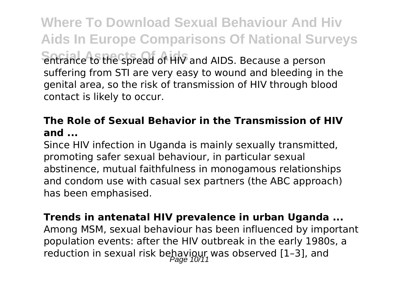**Where To Download Sexual Behaviour And Hiv Aids In Europe Comparisons Of National Surveys Social Aspects Of Aids** entrance to the spread of HIV and AIDS. Because a person suffering from STI are very easy to wound and bleeding in the genital area, so the risk of transmission of HIV through blood contact is likely to occur.

#### **The Role of Sexual Behavior in the Transmission of HIV and ...**

Since HIV infection in Uganda is mainly sexually transmitted, promoting safer sexual behaviour, in particular sexual abstinence, mutual faithfulness in monogamous relationships and condom use with casual sex partners (the ABC approach) has been emphasised.

#### **Trends in antenatal HIV prevalence in urban Uganda ...**

Among MSM, sexual behaviour has been influenced by important population events: after the HIV outbreak in the early 1980s, a reduction in sexual risk behaviour was observed [1-3], and